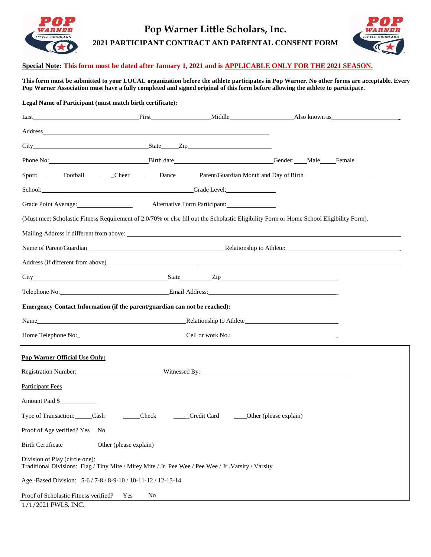

## **Pop Warner Little Scholars, Inc. 2021 PARTICIPANT CONTRACT AND PARENTAL CONSENT FORM**



## **Special Note: This form must be dated after January 1, 2021 and is APPLICABLE ONLY FOR THE 2021 SEASON.**

**This form must be submitted to your LOCAL organization before the athlete participates in Pop Warner. No other forms are acceptable. Every Pop Warner Association must have a fully completed and signed original of this form before allowing the athlete to participate.**

## **Legal Name of Participant (must match birth certificate):**

|                                                                                                                                                                                                                                |                                                     |                                                      | First Middle Middle Also known as the contract of the Middle Also known as the contract of the Middle Contract of the Middle Contract of the Middle Contract of the Middle Contract of the Middle Contract of the Middle Contr |  |
|--------------------------------------------------------------------------------------------------------------------------------------------------------------------------------------------------------------------------------|-----------------------------------------------------|------------------------------------------------------|--------------------------------------------------------------------------------------------------------------------------------------------------------------------------------------------------------------------------------|--|
| Address and the contract of the contract of the contract of the contract of the contract of the contract of the contract of the contract of the contract of the contract of the contract of the contract of the contract of th |                                                     |                                                      |                                                                                                                                                                                                                                |  |
| City State Zip State Zip                                                                                                                                                                                                       |                                                     |                                                      |                                                                                                                                                                                                                                |  |
|                                                                                                                                                                                                                                | Phone No: Birth date Birth date Gender: Male Female |                                                      |                                                                                                                                                                                                                                |  |
| Sport: Football Cheer                                                                                                                                                                                                          |                                                     |                                                      | Dance Parent/Guardian Month and Day of Birth                                                                                                                                                                                   |  |
| School: Grade Level:                                                                                                                                                                                                           |                                                     |                                                      |                                                                                                                                                                                                                                |  |
| Grade Point Average: Alternative Form Participant: National Alternative Form Participant:                                                                                                                                      |                                                     |                                                      |                                                                                                                                                                                                                                |  |
|                                                                                                                                                                                                                                |                                                     |                                                      | (Must meet Scholastic Fitness Requirement of 2.0/70% or else fill out the Scholastic Eligibility Form or Home School Eligibility Form).                                                                                        |  |
|                                                                                                                                                                                                                                |                                                     |                                                      |                                                                                                                                                                                                                                |  |
|                                                                                                                                                                                                                                |                                                     |                                                      | Name of Parent/Guardian entry and the contract of the Relationship to Athlete:                                                                                                                                                 |  |
|                                                                                                                                                                                                                                |                                                     |                                                      | Address (if different from above)                                                                                                                                                                                              |  |
| City State Zip Equation State Zip                                                                                                                                                                                              |                                                     |                                                      |                                                                                                                                                                                                                                |  |
| Telephone No: <b>Email Address:</b> Email Address:                                                                                                                                                                             |                                                     |                                                      |                                                                                                                                                                                                                                |  |
| Emergency Contact Information (if the parent/guardian can not be reached):                                                                                                                                                     |                                                     |                                                      |                                                                                                                                                                                                                                |  |
|                                                                                                                                                                                                                                |                                                     |                                                      |                                                                                                                                                                                                                                |  |
| Home Telephone No: Cell or work No.: Cell or work No.:                                                                                                                                                                         |                                                     |                                                      |                                                                                                                                                                                                                                |  |
| <b>Pop Warner Official Use Only:</b>                                                                                                                                                                                           |                                                     |                                                      |                                                                                                                                                                                                                                |  |
| Registration Number: Witnessed By:                                                                                                                                                                                             |                                                     |                                                      |                                                                                                                                                                                                                                |  |
| <b>Participant Fees</b>                                                                                                                                                                                                        |                                                     |                                                      |                                                                                                                                                                                                                                |  |
| Amount Paid \$                                                                                                                                                                                                                 |                                                     |                                                      |                                                                                                                                                                                                                                |  |
| Type of Transaction: Cash                                                                                                                                                                                                      |                                                     | Check ______Credit Card ______Other (please explain) |                                                                                                                                                                                                                                |  |
| Proof of Age verified? Yes No                                                                                                                                                                                                  |                                                     |                                                      |                                                                                                                                                                                                                                |  |
| <b>Birth Certificate</b>                                                                                                                                                                                                       | Other (please explain)                              |                                                      |                                                                                                                                                                                                                                |  |
| Division of Play (circle one):<br>Traditional Divisions: Flag / Tiny Mite / Mitey Mite / Jr. Pee Wee / Pee Wee / Jr. Varsity / Varsity                                                                                         |                                                     |                                                      |                                                                                                                                                                                                                                |  |
| Age -Based Division: 5-6 / 7-8 / 8-9-10 / 10-11-12 / 12-13-14                                                                                                                                                                  |                                                     |                                                      |                                                                                                                                                                                                                                |  |
| Proof of Scholastic Fitness verified?                                                                                                                                                                                          | Yes<br>No                                           |                                                      |                                                                                                                                                                                                                                |  |

1/1/2021 PWLS, INC.